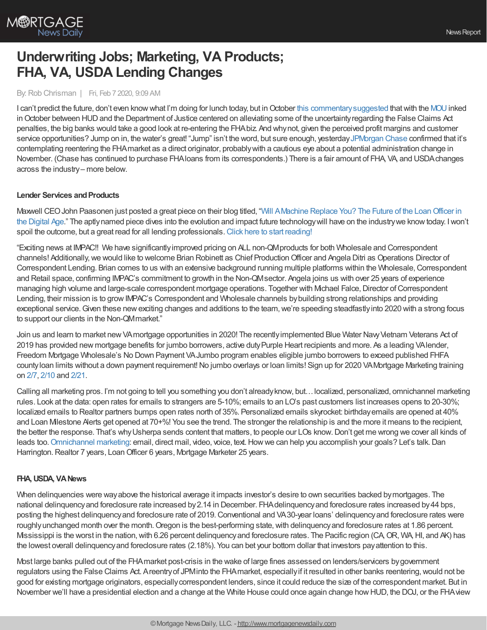

# **Underwriting Jobs; Marketing, VA Products; FHA, VA, USDA Lending Changes**

## By:Rob Chrisman | Fri, Feb 7 2020, 9:09 AM

I can't predict the future, don't even know what I'm doing for lunch today, but in October this commentary suggested that with the [MOU](https://www.hud.gov/sites/dfiles/SFH/documents/sfh_HUD_DOJ_MOU_10_28_19.pdf) inked in October between HUD and the Department of Justice centered on alleviating some of the uncertainty regarding the False Claims Act penalties, the big banks would take a good look at re-entering the FHAbiz. And whynot, given the perceived profit margins and customer service opportunities? Jump on in, the water's great! "Jump" isn't the word, but sure enough, yesterday [JPMorgan](https://www.americanbanker.com/articles/jpmorgan-mulls-return-to-fha-backed-mortgages-after-era-of-fines) Chase confirmed that it's contemplating reentering the FHAmarket as a direct originator, probablywith a cautious eye about a potential administration change in November. (Chase has continued to purchase FHAloans from its correspondents.) There is a fair amount of FHA, VA, and USDAchanges across the industry– more below.

# **Lender Services and Products**

Maxwell CEOJohn Paasonen just posted a great piece on their blog titled, "Will AMachine Replace You? The Future of the LoanOfficer in the Digital Age." The aptlynamed piece dives into the evolution and impact future [technologywill](https://himaxwell.com/blog/will-machine-replace-you-future-of-the-loan-officer/) have on the industrywe knowtoday. Iwon't spoil the outcome, but a great read for all lending professionals. Click here to start [reading!](https://himaxwell.com/blog/will-machine-replace-you-future-of-the-loan-officer/)

"Exciting news at IMPAC!! We have significantlyimproved pricing on ALL non-QMproducts for both Wholesale and Correspondent channels! Additionally,we would like to welcome Brian Robinett as Chief ProductionOfficer and Angela Ditri as Operations Director of Correspondent Lending. Brian comes to us with an extensive background running multiple platforms within the Wholesale, Correspondent and Retail space, confirming IMPAC's commitment to growth in the Non-QMsector. Angela joins us with over 25 years of experience managing high volume and large-scale correspondent mortgage operations. Together with Michael Falce, Director of Correspondent Lending, their mission is to growIMPAC's Correspondent and Wholesale channels bybuilding strong relationships and providing exceptional service. Given these new exciting changes and additions to the team, we're speeding steadfastly into 2020 with a strong focus to support our clients in the Non-QMmarket."

Join us and learn to market new VA mortgage opportunities in 2020! The recently implemented Blue Water Navy Vietnam Veterans Act of 2019 has provided new mortgage benefits for jumbo borrowers, active dutyPurple Heart recipients and more. As a leading VAlender, Freedom Mortgage Wholesale's No Down Payment VAJumbo program enables eligible jumbo borrowers to exceed published FHFA county loan limits without a down payment requirement! No jumbo overlays or loan limits! Sign up for 2020 VA Mortgage Marketing training on [2/7](https://freedom.zoom.us/meeting/register/vJMsdeGqrDoiuzF7a4DlSQatbpR9U0Vzmg), [2/10](https://freedom.zoom.us/meeting/register/uZcsd-qorT8pq-AXMd9lWnxApigrIIOz0A) and [2/21](https://freedom.zoom.us/meeting/register/vpQodu-tpj8jMzV9mAw55-KzL5y3cYPAhQ).

Calling all marketing pros. I'm not going to tell you something you don't alreadyknow, but…localized, personalized, omnichannel marketing rules. Look at the data: open rates for emails to strangers are 5-10%; emails to an LO's past customers list increases opens to 20-30%; localized emails to Realtor partners bumps open rates north of 35%. Personalized emails skyrocket: birthdayemails are opened at 40% and Loan Milestone Alerts get opened at 70+%! You see the trend. The stronger the relationship is and the more it means to the recipient, the better the response. That's whyUsherpa sends content that matters, to people our LOs know.Don't get me wrong we cover all kinds of leads too. [Omnichannel](https://usherpa.com/#omnichannel) marketing: email, direct mail, video, voice, text. How we can help you accomplish your goals? Let's talk. Dan Harrington. Realtor 7 years, Loan Officer 6 years, Mortgage Marketer 25 years.

# **FHA,USDA, VANews**

When delinquencies were wayabove the historical average it impacts investor's desire to own securities backed bymortgages. The national delinquencyand foreclosure rate increased by2.14 in December. FHAdelinquencyand foreclosure rates increased by44 bps, posting the highest delinquencyand foreclosure rate of 2019.Conventional and VA30-year loans' delinquencyand foreclosure rates were roughly unchanged month over the month. Oregon is the best-performing state, with delinquency and foreclosure rates at 1.86 percent. Mississippi is the worst in the nation,with 6.26 percent delinquencyand foreclosure rates. The Pacific region (CA,OR, WA,HI, and AK) has the lowest overall delinquencyand foreclosure rates (2.18%). You can bet your bottom dollar that investors payattention to this.

Most large banks pulled out of the FHAmarket post-crisis in the wake of large fines assessed on lenders/servicers bygovernment regulators using the False Claims Act. Areentryof JPMinto the FHAmarket, especiallyif it resulted in other banks reentering,would not be good for existing mortgage originators, especiallycorrespondent lenders, since it could reduce the size of the correspondent market. But in November we'll have a presidential election and a change at the White House could once again change howHUD, the DOJ, or the FHAview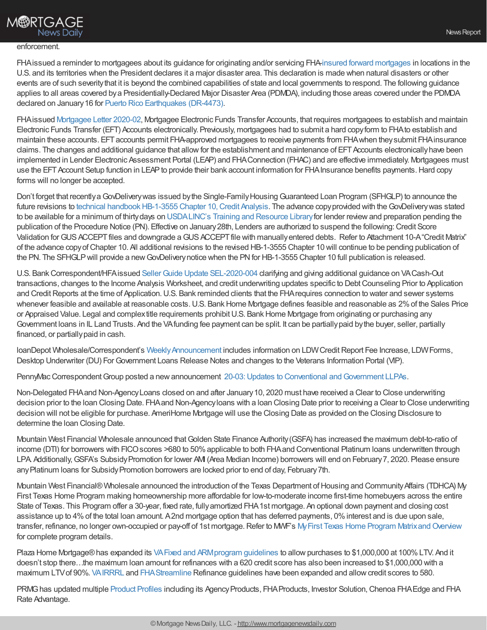# **M®RTGAGE News Daily**

#### enforcement.

FHAissued a reminder to mortgagees about its guidance for originating and/or servicing FHA-insured forward [mortgages](https://www.hud.gov/program_offices/housing/sfh/ins/203h-dft) in locations in the U.S. and its territories when the President declares it a major disaster area. This declaration is made when natural disasters or other events are of such severitythat it is beyond the combined capabilities of state and local governments to respond. The following guidance applies to all areas covered bya Presidentially-Declared Major Disaster Area (PDMDA), including those areas covered under the PDMDA declared on January16 for Puerto Rico [Earthquakes](https://www.fema.gov/disaster/4473) (DR-4473).

FHAissued [Mortgagee](https://www.hud.gov/sites/dfiles/OCHCO/documents/2020-2hsgml.pdf) Letter 2020-02, Mortgagee Electronic Funds Transfer Accounts, that requires mortgagees to establish and maintain Electronic Funds Transfer (EFT) Accounts electronically. Previously, mortgagees had to submit a hard copyform to FHAto establish and maintain these accounts. EFTaccounts permit FHA-approved mortgagees to receive payments from FHAwhen theysubmit FHAinsurance claims. The changes and additional guidance that allow for the establishment and maintenance of EFT Accounts electronically have been implemented in Lender Electronic Assessment Portal (LEAP) and FHAConnection (FHAC) and are effective immediately. Mortgagees must use the EFT Account Setup function in LEAP to provide their bank account information for FHA Insurance benefits payments. Hard copy forms will no longer be accepted.

Don't forget that recently a GovDelivery was issued by the Single-Family Housing Guaranteed Loan Program (SFHGLP) to announce the future revisions to technical handbook HB-1-3555 Chapter 10, Credit Analysis. The advance copy provided with the GovDelivery was stated to be available for a minimum of thirtydays on [USDALINC's](https://www.rd.usda.gov/programs-services/lenders/usda-linc-training-resource-library) Training and Resource Libraryfor lender reviewand preparation pending the publication of the Procedure Notice (PN). Effective on January 28th, Lenders are authorized to suspend the following: Credit Score Validation for GUS ACCEPT files and downgrade a GUS ACCEPT file with manually entered debts. Refer to Attachment 10-A "Credit Matrix" of the advance copyofChapter 10. All additional revisions to the revised HB-1-3555 Chapter 10 will continue to be pending publication of the PN. The SFHGLP will provide a new GovDelivery notice when the PN for HB-1-3555 Chapter 10 full publication is released.

U.S. Bank Correspondent/HFA issued Seller Guide Update [SEL-2020-004](http://pull.t2mr3.com/cgi-bin/pull/DocPull/1677-E884/5334507/SEL-2020-004_-_Jan_27_Underwriting_1-27-20.pdf) clarifying and giving additional guidance on VA Cash-Out transactions, changes to the Income Analysis Worksheet, and credit underwriting updates specific to DebtCounseling Prior to Application and Credit Reports at the time of Application. U.S. Bank reminded clients that the FHA requires connection to water and sewer systems whenever feasible and available at reasonable costs. U.S. Bank Home Mortgage defines feasible and reasonable as 2% of the Sales Price or Appraised Value. Legal and complextitle requirements prohibit U.S. Bank Home Mortgage from originating or purchasing any Government loans in IL Land Trusts. And the VAfunding fee payment can be split. It can be partiallypaid bythe buyer, seller, partially financed, or partiallypaid in cash.

loanDepot Wholesale/Correspondent's Weekly Announcement includes information on LDW Credit Report Fee Increase, LDW Forms, Desktop Underwriter (DU) For Government Loans Release Notes and changes to the Veterans Information Portal (VIP).

PennyMac Correspondent Group posted a new announcement 20-03: Updates to Conventional and Government LLPAs.

Non-Delegated FHAand Non-AgencyLoans closed on and after January10, 2020 must have received a Clear to Close underwriting decision prior to the loan Closing Date. FHAand Non-Agencyloans with a loan Closing Date prior to receiving a Clear to Close underwriting decision will not be eligible for purchase. AmeriHome Mortgage will use the Closing Date as provided on the Closing Disclosure to determine the loan Closing Date.

Mountain West Financial Wholesale announced thatGolden State Finance Authority(GSFA) has increased the maximum debt-to-ratio of income (DTI) for borrowers with FICO scores >680 to 50% applicable to both FHA and Conventional Platinum loans underwritten through LPA Additionally, GSFA's Subsidy Promotion for lower AMI (Area Median Income) borrowers will end on February 7, 2020. Please ensure any Platinum loans for Subsidy Promotion borrowers are locked prior to end of day, February 7th.

Mountain West Financial® Wholesale announced the introduction of the Texas Department of Housing and Community Affairs (TDHCA) My First Texas Home Program making homeownership more affordable for low-to-moderate income first-time homebuyers across the entire State of Texas. This Program offer a 30-year, fixed rate, fullyamortized FHA1st mortgage. An optional down payment and closing cost assistance up to 4%of the total loan amount. A2nd mortgage option that has deferred payments, 0%interest and is due upon sale, transfer, refinance, no longer own-occupied or pay-off of 1st mortgage. Refer to MWF's My First Texas Home Program Matrix and Overview for complete program details.

Plaza Home Mortgage® has expanded its VA Fixed and ARM program guidelines to allow purchases to \$1,000,000 at 100% LTV. And it doesn't stop there…the maximum loan amount for refinances with a 620 credit score has also been increased to \$1,000,000 with a maximum LTVof 90%. [VAIRRRL](https://share.plazahomemortgage.com/e2t/c/*W6YnHNM2ZKX5bW5sMMWZ8_n9PS0/*W7zXhhD5zszv3W7Z90XH6MDZHd0/5/f18dQhb0S5fm9c-mG2W61DttL1k63-nW1DWrhq56B1MkW6Dk5Tg1SrC8dVLDpF18B-Wz0VZ6Q4W1p7ybxW5yLrhL5wMw-5W3TJNmM2BFJ8lW3M2BKk2z3KprN51M6L4f4hVZW50Cxrw981bnMW5b-BqW5gf8h4W2GwqhR64QkFdW8r4n1S25WGHsN5KxX2Hn7bnLW1mqz7Y7k2wqGW1TjVKl7CLGthW6yyrrQ58R2pqW1GlVNb7BQPt4W3N5Mn350tyPVVQJJn63Lqnm_W8q5FTl6skKw2W64QZb68rvwMTW7nSL7t5r_M3LVPW6mL3pSFHwW22WLyB6HBHnDW6qG7347VtdpFW7qTl2j7vYFMDW1S4Kn_28VWtvW7s8CZg1rcZ9PW23SYm67vdBFLW6lSkvD7KFhMLW1YjW2k7l79WZW7662CC61WyvNW76qZln7vMYdmW1mrTKg7FJ61qW6yBx606SmWmtW1Yc34W6LjPmqW1NdbTV2l0VG7W1FkZ0_7TG4TKW6Tv1bx844PcKN82G-VBkRQmgMwKJnC3qXXnN3nG7LQXTDS3W6P4hPq2z3sn2W2c52TT8WlFmzW61lPZv26jp7MW84y3HV8hbWCRV5wLg641-p3VW4F4d566zLJqTW9gRb0s7D7HxjW1Dy_KC855901f6crj3604) and [FHAStreamline](https://share.plazahomemortgage.com/e2t/c/*W6YnHNM2ZKX5bW5sMMWZ8_n9PS0/*W4lKgXg5ClMFLW8DLTsZ2crzrS0/5/f18dQhb0S1Wb2RLnR1V11rZV5WQBc3N2YpPyRLQh-sW21J_Pp64Wj4xW6RJT-Y6_gRCDW6x3bPv6SLsBkW6TSynY7BryXXW8wljk17BHVHtN6NZ2TNrClTpW2dgKdy82hWM4W8LQ0Df2kWqlkW977Dlr7sHy8kW4qRRxp2Z96t9W3RYrJ21kQN3sW2R41Nx56PtR9VH5gbp3S-1lHW7sXFYJ6kg7c5W7shDBk8XFbJrVGHgW42QvDYrW8lr9Wr26JrZkN7DYxjl3_MZ-W7sr3xF2Cd4rNN1B4wr0LTdZWN7ykVnHCmgYrW6wcMRR2YdyCCW6Rj1533yVV8xW4T1nPY7_lP_GW1fSHYy6Gnn1fV-qt8_54jftrW2_sFL06qNNFDW6jX7Xp5KgNnNN1j2T5zK5TlcW8T6gG074j_CNW1Zn3RM3YRTk1W4XmCl684FTj9W87gd8Z87qmZ7N5NxpRHlKH5QW7wSq694lX5k2W2sSdB241Wly3W42RKz37DKC_jW2-sQGf3DV1CTW6G20J382GHLWW6MQ0Gb6YzXzMW7p3C6W3m9Rr8W28X58X2kfWCDW3_Vy386XPb7hW6sNWcv51ys3XW8hNXcD4yxg0WN8rckBJqVdqZW5RYVNR4sH6_7W6SHVbf8jw4zlW5RHHYt33H-4bW974pch6h4lVQW5qCm_J6_b6Vgf6G5T5l04) Refinance guidelines have been expanded and allowcredit scores to 580.

PRMG has updated multiple [Product](http://www.eprmg.net/guidelines/Product%20Profile%20Updates.pdf) Profiles including its Agency Products, FHA Products, Investor Solution, Chenoa FHA Edge and FHA Rate Advantage.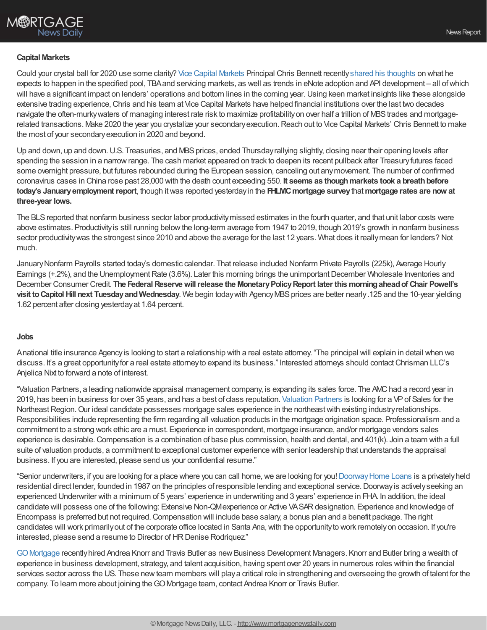## **Capital Markets**

Could your crystal ball for 2020 use some clarity? Vice Capital [Markets](https://www.vicecapitalmarkets.com/) Principal Chris Bennett recentlyshared his [thoughts](https://www.nationalmortgagenews.com/opinion/the-market-outlook-for-the-coming-year-is-surprisingly-familiar) on what he expects to happen in the specified pool, TBAand servicing markets, as well as trends in eNote adoption and API development – all ofwhich will have a significant impact on lenders' operations and bottom lines in the coming year. Using keen market insights like these alongside extensive trading experience,Chris and his team at Vice Capital Markets have helped financial institutions over the last two decades navigate the often-murky waters of managing interest rate risk to maximize profitability on over half a trillion of MBS trades and mortgagerelated transactions. Make 2020 the year you crystalize your secondaryexecution.Reach out to Vice Capital Markets' Chris Bennett to make the most of your secondaryexecution in 2020 and beyond.

Up and down, up and down. U.S. Treasuries, and MBS prices, ended Thursday rallying slightly, closing near their opening levels after spending the session in a narrowrange. The cash market appeared on track to deepen its recent pullback after Treasuryfutures faced some overnight pressure, but futures rebounded during the European session, canceling out anymovement. The number of confirmed coronavirus cases in China rose past 28,000 with the death count exceeding 550. **It seems as thoughmarkets took a breathbefore today's Januaryemploymentreport**, though itwas reported yesterdayin the **FHLMCmortgage survey**that**mortgage rates are now at three-year lows.**

The BLS reported that nonfarm business sector labor productivity missed estimates in the fourth quarter, and that unit labor costs were above estimates. Productivity is still running below the long-term average from 1947 to 2019, though 2019's growth in nonfarm business sector productivitywas the strongest since 2010 and above the average for the last 12 years. What does it reallymean for lenders? Not much.

JanuaryNonfarm Payrolls started today's domestic calendar. That release included Nonfarm Private Payrolls (225k), Average Hourly Earnings (+.2%), and the Unemployment Rate (3.6%). Later this morning brings the unimportant December Wholesale Inventories and December Consumer Credit. **The FederalReservewillrelease the MonetaryPolicyReport later this morningaheadof Chair Powell's visit to Capitol Hill next Tuesday and Wednesday**. We begin today with Agency MBS prices are better nearly.125 and the 10-year yielding 1.62 percent after closing yesterdayat 1.64 percent.

### **Jobs**

Anational title insurance Agencyis looking to start a relationship with a real estate attorney. "The principal will explain in detail when we discuss. It's a great opportunity for a real estate attorney to expand its business." Interested attorneys should contact Chrisman LLC's Anjelica Nixt to forward a note of interest.

"Valuation Partners, a leading nationwide appraisal management company, is expanding its sales force. The AMChad a record year in 2019, has been in business for over 35 years, and has a best of class reputation. [Valuation](https://www.valuationpartners.com/) Partners is looking for a VPof Sales for the Northeast Region. Our ideal candidate possesses mortgage sales experience in the northeast with existing industry relationships. Responsibilities include representing the firm regarding all valuation products in the mortgage origination space. Professionalism and a commitment to a strong work ethic are a must. Experience in correspondent, mortgage insurance, and/or mortgage vendors sales experience is desirable.Compensation is a combination of base plus commission, health and dental, and 401(k). Join a team with a full suite of valuation products, a commitment to exceptional customer experience with senior leadership that understands the appraisal business. If you are interested, please send us your confidential resume."

"Senior underwriters, if you are looking for a place where you can call home, we are looking for you! Doorway Home Loans is a privately held residential direct lender, founded in 1987 on the principles of responsible lending and exceptional service. Doorway is actively seeking an experienced Underwriter with a minimum of 5 years' experience in underwriting and 3 years' experience in FHA. In addition, the ideal candidate will possess one of the following: Extensive Non-QMexperience or Active VASARdesignation. Experience and knowledge of Encompass is preferred but not required.Compensation will include base salary, a bonus plan and a benefit package. The right candidates will work primarilyout of the corporate office located in Santa Ana,with the opportunityto work remotelyon occasion. If you're interested, please send a resume to Director of HR Denise Rodriquez."

GO Mortgage recently hired Andrea Knorr and Travis Butler as new Business Development Managers. Knorr and Butler bring a wealth of experience in business development, strategy, and talent acquisition, having spent over 20 years in numerous roles within the financial services sector across the US. These new team members will play a critical role in strengthening and overseeing the growth of talent for the company. To learn more about joining theGOMortgage team, contact Andrea Knorr or Travis Butler.